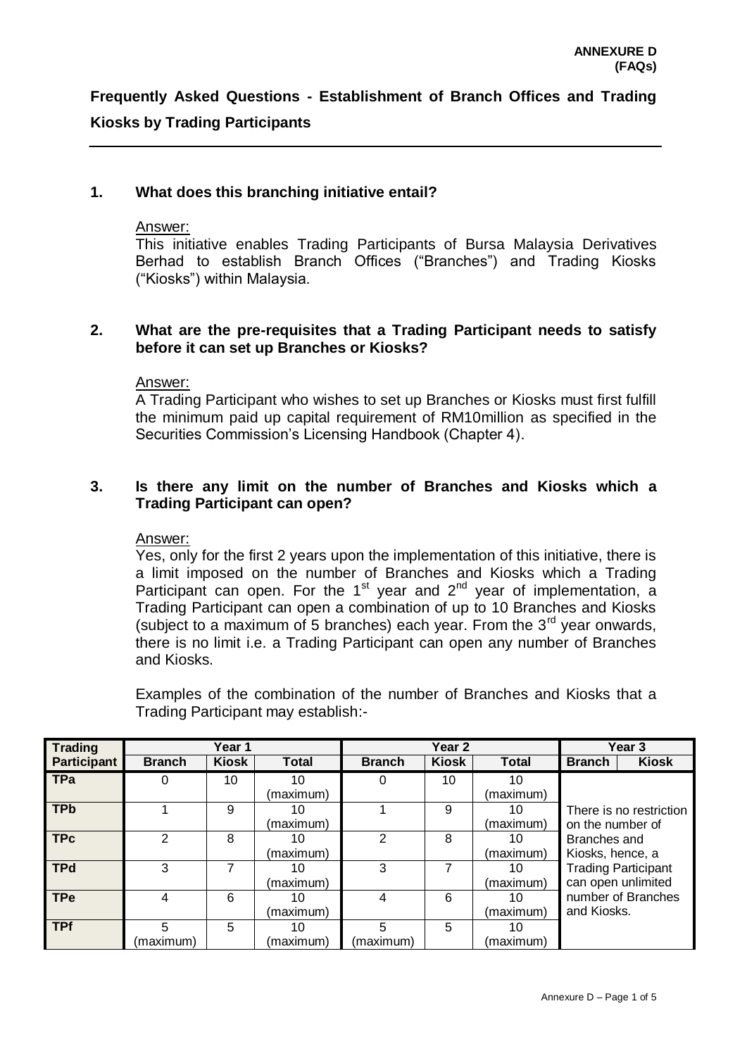### **1. What does this branching initiative entail?**

#### Answer:

This initiative enables Trading Participants of Bursa Malaysia Derivatives Berhad to establish Branch Offices ("Branches") and Trading Kiosks ("Kiosks") within Malaysia.

#### **2. What are the pre-requisites that a Trading Participant needs to satisfy before it can set up Branches or Kiosks?**

#### Answer:

A Trading Participant who wishes to set up Branches or Kiosks must first fulfill the minimum paid up capital requirement of RM10million as specified in the Securities Commission's Licensing Handbook (Chapter 4).

#### **3. Is there any limit on the number of Branches and Kiosks which a Trading Participant can open?**

#### Answer:

Yes, only for the first 2 years upon the implementation of this initiative, there is a limit imposed on the number of Branches and Kiosks which a Trading Participant can open. For the 1<sup>st</sup> year and 2<sup>nd</sup> year of implementation, a Trading Participant can open a combination of up to 10 Branches and Kiosks (subject to a maximum of 5 branches) each year. From the  $3<sup>rd</sup>$  year onwards, there is no limit i.e. a Trading Participant can open any number of Branches and Kiosks.

Examples of the combination of the number of Branches and Kiosks that a Trading Participant may establish:-

| <b>Trading</b>     | Year 1        |              |              | Year 2        |              |              | Year <sub>3</sub>          |                    |  |
|--------------------|---------------|--------------|--------------|---------------|--------------|--------------|----------------------------|--------------------|--|
| <b>Participant</b> | <b>Branch</b> | <b>Kiosk</b> | <b>Total</b> | <b>Branch</b> | <b>Kiosk</b> | <b>Total</b> | <b>Branch</b>              | <b>Kiosk</b>       |  |
| TPa                | 0             | 10           | 10           |               | 10           | 10           |                            |                    |  |
|                    |               |              | (maximum)    |               |              | (maximum)    |                            |                    |  |
| <b>TPb</b>         |               | 9            | 10           |               | 9            | 10           | There is no restriction    |                    |  |
|                    |               |              | (maximum)    |               |              | (maximum)    | on the number of           |                    |  |
| <b>TPc</b>         | 2             | 8            | 10           | 2             | 8            | 10           | Branches and               |                    |  |
|                    |               |              | (maximum)    |               |              | (maximum)    | Kiosks, hence, a           |                    |  |
| <b>TPd</b>         | 3             |              | 10           | 3             | 7            | 10           | <b>Trading Participant</b> |                    |  |
|                    |               |              | (maximum)    |               |              | (maximum)    |                            | can open unlimited |  |
| <b>TPe</b>         | 4             | 6            | 10           | 4             | 6            | 10           | number of Branches         |                    |  |
|                    |               |              | (maximum)    |               |              | (maximum)    | and Kiosks.                |                    |  |
| <b>TPf</b>         | 5             | 5            | 10           | 5             | 5            | 10           |                            |                    |  |
|                    | (maximum)     |              | (maximum)    | (maximum)     |              | (maximum)    |                            |                    |  |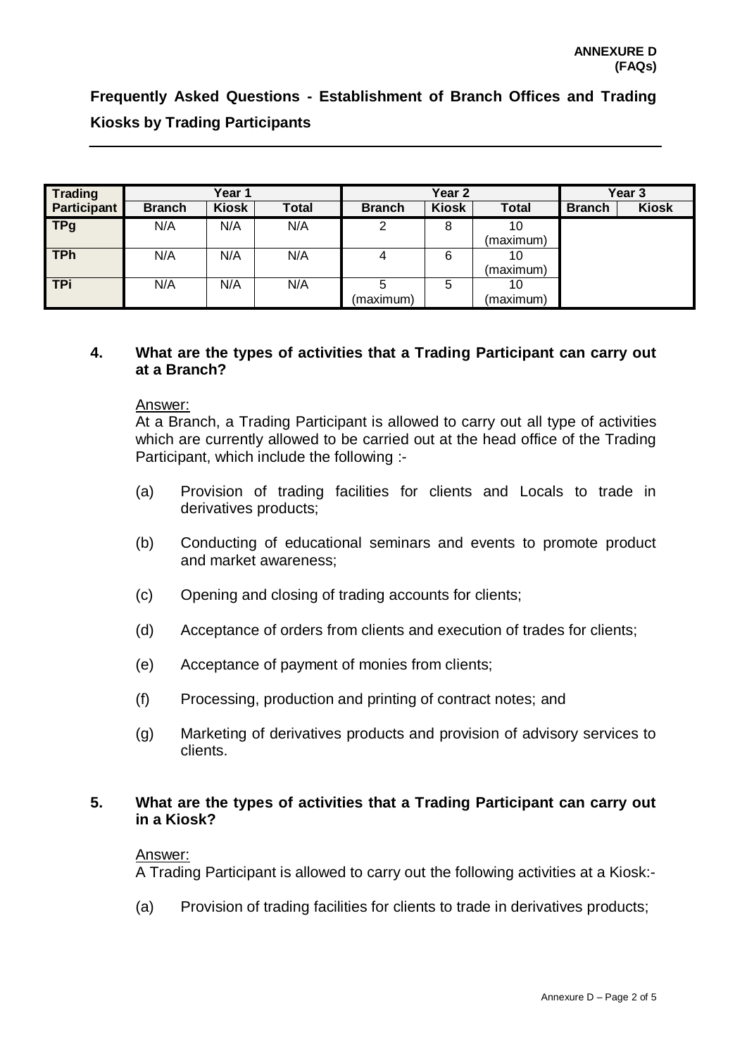| <b>Trading</b> | Year 1        |              |       | Year <sub>2</sub> |              |              | Year <sub>3</sub> |              |
|----------------|---------------|--------------|-------|-------------------|--------------|--------------|-------------------|--------------|
| Participant    | <b>Branch</b> | <b>Kiosk</b> | Total | <b>Branch</b>     | <b>Kiosk</b> | <b>Total</b> | <b>Branch</b>     | <b>Kiosk</b> |
| <b>TPg</b>     | N/A           | N/A          | N/A   | っ                 | 8            | 10           |                   |              |
|                |               |              |       |                   |              | (maximum)    |                   |              |
| <b>TPh</b>     | N/A           | N/A          | N/A   |                   | 6            | 10           |                   |              |
|                |               |              |       |                   |              | (maximum)    |                   |              |
| <b>TPi</b>     | N/A           | N/A          | N/A   |                   | 5            | 10           |                   |              |
|                |               |              |       | (maximum)         |              | (maximum)    |                   |              |

## **4. What are the types of activities that a Trading Participant can carry out at a Branch?**

#### Answer:

At a Branch, a Trading Participant is allowed to carry out all type of activities which are currently allowed to be carried out at the head office of the Trading Participant, which include the following :-

- (a) Provision of trading facilities for clients and Locals to trade in derivatives products;
- (b) Conducting of educational seminars and events to promote product and market awareness;
- (c) Opening and closing of trading accounts for clients;
- (d) Acceptance of orders from clients and execution of trades for clients;
- (e) Acceptance of payment of monies from clients;
- (f) Processing, production and printing of contract notes; and
- (g) Marketing of derivatives products and provision of advisory services to clients.

## **5. What are the types of activities that a Trading Participant can carry out in a Kiosk?**

#### Answer:

A Trading Participant is allowed to carry out the following activities at a Kiosk:-

(a) Provision of trading facilities for clients to trade in derivatives products;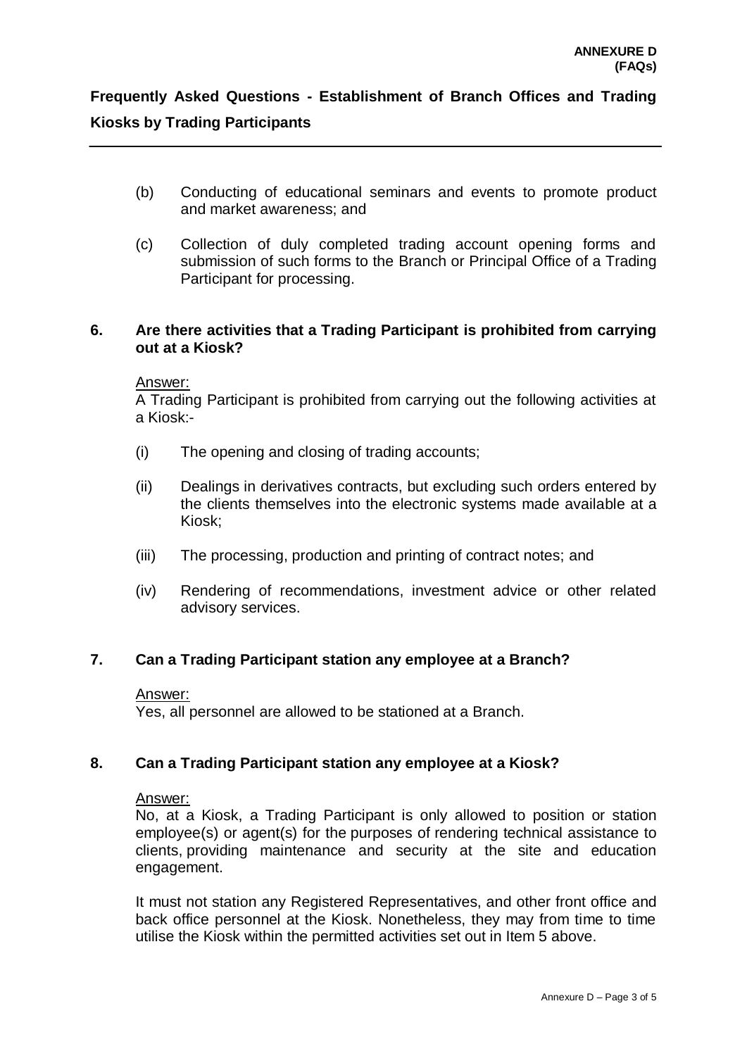- (b) Conducting of educational seminars and events to promote product and market awareness; and
- (c) Collection of duly completed trading account opening forms and submission of such forms to the Branch or Principal Office of a Trading Participant for processing.

### **6. Are there activities that a Trading Participant is prohibited from carrying out at a Kiosk?**

#### Answer:

A Trading Participant is prohibited from carrying out the following activities at a Kiosk:-

- (i) The opening and closing of trading accounts;
- (ii) Dealings in derivatives contracts, but excluding such orders entered by the clients themselves into the electronic systems made available at a Kiosk;
- (iii) The processing, production and printing of contract notes; and
- (iv) Rendering of recommendations, investment advice or other related advisory services.

## **7. Can a Trading Participant station any employee at a Branch?**

#### Answer:

Yes, all personnel are allowed to be stationed at a Branch.

## **8. Can a Trading Participant station any employee at a Kiosk?**

#### Answer:

No, at a Kiosk, a Trading Participant is only allowed to position or station employee(s) or agent(s) for the purposes of rendering technical assistance to clients, providing maintenance and security at the site and education engagement.

It must not station any Registered Representatives, and other front office and back office personnel at the Kiosk. Nonetheless, they may from time to time utilise the Kiosk within the permitted activities set out in Item 5 above.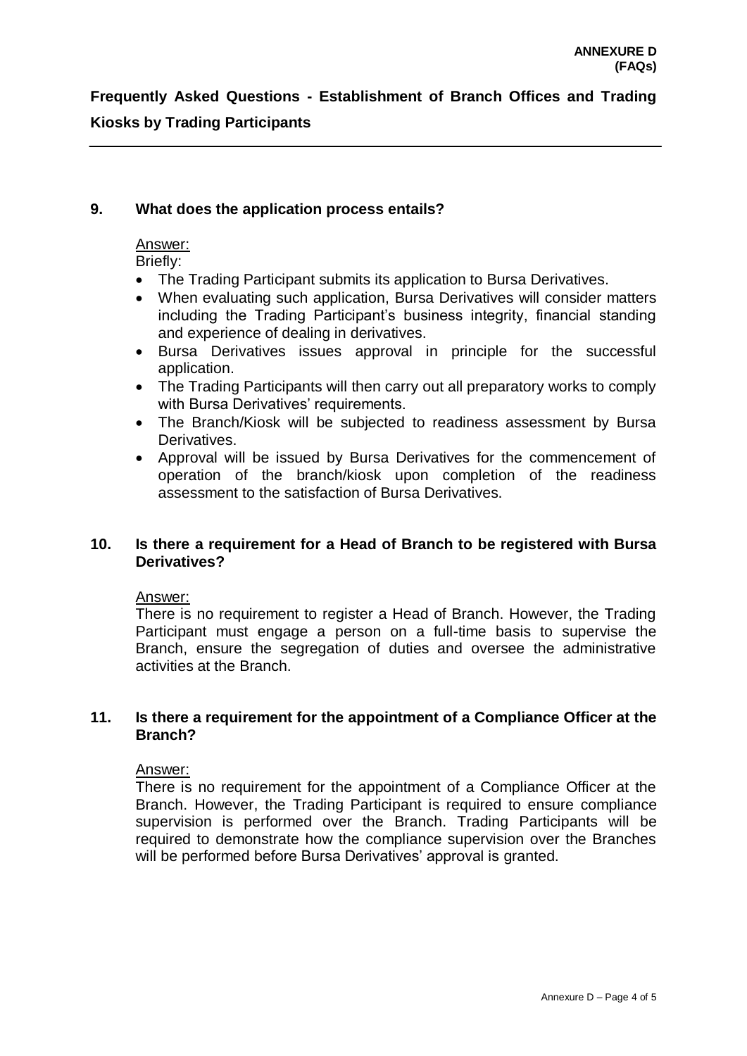## **9. What does the application process entails?**

### Answer:

Briefly:

- The Trading Participant submits its application to Bursa Derivatives.
- When evaluating such application, Bursa Derivatives will consider matters including the Trading Participant's business integrity, financial standing and experience of dealing in derivatives.
- Bursa Derivatives issues approval in principle for the successful application.
- The Trading Participants will then carry out all preparatory works to comply with Bursa Derivatives' requirements.
- The Branch/Kiosk will be subjected to readiness assessment by Bursa Derivatives.
- Approval will be issued by Bursa Derivatives for the commencement of operation of the branch/kiosk upon completion of the readiness assessment to the satisfaction of Bursa Derivatives.

## **10. Is there a requirement for a Head of Branch to be registered with Bursa Derivatives?**

#### Answer:

There is no requirement to register a Head of Branch. However, the Trading Participant must engage a person on a full-time basis to supervise the Branch, ensure the segregation of duties and oversee the administrative activities at the Branch.

### **11. Is there a requirement for the appointment of a Compliance Officer at the Branch?**

## Answer:

There is no requirement for the appointment of a Compliance Officer at the Branch. However, the Trading Participant is required to ensure compliance supervision is performed over the Branch. Trading Participants will be required to demonstrate how the compliance supervision over the Branches will be performed before Bursa Derivatives' approval is granted.